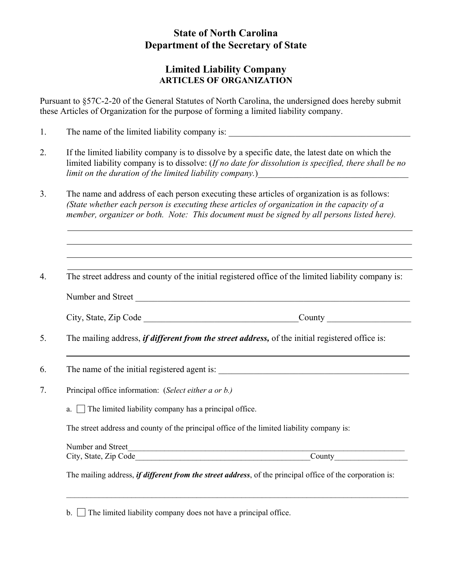## **State of North Carolina Department of the Secretary of State**

## **Limited Liability Company ARTICLES OF ORGANIZATION**

Pursuant to §57C-2-20 of the General Statutes of North Carolina, the undersigned does hereby submit these Articles of Organization for the purpose of forming a limited liability company.

- 1. The name of the limited liability company is: \_\_\_\_\_\_\_\_\_\_\_\_\_\_\_\_\_\_\_\_\_\_\_\_\_\_\_\_\_\_\_\_
- 2. If the limited liability company is to dissolve by a specific date, the latest date on which the limited liability company is to dissolve: (*If no date for dissolution is specified, there shall be no limit on the duration of the limited liability company.*)\_\_\_\_\_\_\_\_\_\_\_\_\_\_\_\_\_\_\_\_\_\_\_\_\_\_\_\_\_\_\_\_\_\_
- 3. The name and address of each person executing these articles of organization is as follows: *(State whether each person is executing these articles of organization in the capacity of a member, organizer or both. Note: This document must be signed by all persons listed here).*
- 4. The street address and county of the initial registered office of the limited liability company is:

Number and Street

| City, State, Zip Code | Jounty |
|-----------------------|--------|
|-----------------------|--------|

- 5. The mailing address, *if different from the street address,* of the initial registered office is:
- 6. The name of the initial registered agent is: \_\_\_\_\_\_\_\_\_\_\_\_\_\_\_\_\_\_\_\_\_\_\_\_\_\_\_\_\_\_\_\_\_\_\_\_\_\_\_\_\_\_\_
- 7. Principal office information: (*Select either a or b.)* 
	- a.  $\Box$  The limited liability company has a principal office.

The street address and county of the principal office of the limited liability company is:

| Number and Street     |       |
|-----------------------|-------|
| City, State, Zip Code | ∕ount |

 $\mathcal{L}_\mathcal{L} = \{ \mathcal{L}_\mathcal{L} = \{ \mathcal{L}_\mathcal{L} = \{ \mathcal{L}_\mathcal{L} = \{ \mathcal{L}_\mathcal{L} = \{ \mathcal{L}_\mathcal{L} = \{ \mathcal{L}_\mathcal{L} = \{ \mathcal{L}_\mathcal{L} = \{ \mathcal{L}_\mathcal{L} = \{ \mathcal{L}_\mathcal{L} = \{ \mathcal{L}_\mathcal{L} = \{ \mathcal{L}_\mathcal{L} = \{ \mathcal{L}_\mathcal{L} = \{ \mathcal{L}_\mathcal{L} = \{ \mathcal{L}_\mathcal{$ 

The mailing address, *if different from the street address*, of the principal office of the corporation is:

 $b.$  The limited liability company does not have a principal office.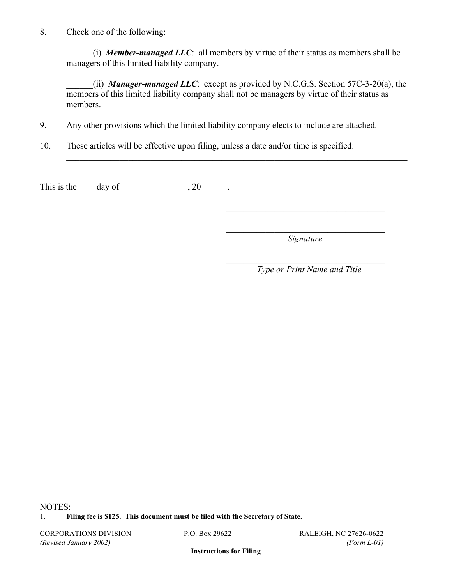8. Check one of the following:

\_\_\_\_\_\_(i) *Member-managed LLC*: all members by virtue of their status as members shall be managers of this limited liability company.

\_\_\_\_\_\_(ii) *Manager-managed LLC*: except as provided by N.C.G.S. Section 57C-3-20(a), the members of this limited liability company shall not be managers by virtue of their status as members.

9. Any other provisions which the limited liability company elects to include are attached.

 $\mathcal{L}_\mathcal{L} = \mathcal{L}_\mathcal{L} = \mathcal{L}_\mathcal{L} = \mathcal{L}_\mathcal{L} = \mathcal{L}_\mathcal{L} = \mathcal{L}_\mathcal{L} = \mathcal{L}_\mathcal{L} = \mathcal{L}_\mathcal{L} = \mathcal{L}_\mathcal{L} = \mathcal{L}_\mathcal{L} = \mathcal{L}_\mathcal{L} = \mathcal{L}_\mathcal{L} = \mathcal{L}_\mathcal{L} = \mathcal{L}_\mathcal{L} = \mathcal{L}_\mathcal{L} = \mathcal{L}_\mathcal{L} = \mathcal{L}_\mathcal{L}$ 

 $\mathcal{L}_\mathcal{L} = \{ \mathcal{L}_\mathcal{L} \mid \mathcal{L}_\mathcal{L} \in \mathcal{L}_\mathcal{L} \}$ 

 $\mathcal{L}_\mathcal{L} = \{ \mathcal{L}_\mathcal{L} \mid \mathcal{L}_\mathcal{L} \in \mathcal{L}_\mathcal{L} \}$ 

10. These articles will be effective upon filing, unless a date and/or time is specified:

This is the  $\_\_\_$  day of  $\_\_\_\_\_\_$ , 20 $\_\_\_\_\_\.\$ 

 $\mathcal{L}_\text{max}$  *Signature* 

 *Type or Print Name and Title*

NOTES:

1. **Filing fee is \$125. This document must be filed with the Secretary of State.**

CORPORATIONS DIVISION P.O. Box 29622 RALEIGH, NC 27626-0622 *(Revised January 2002) (Form L-01)* 

**Instructions for Filing**